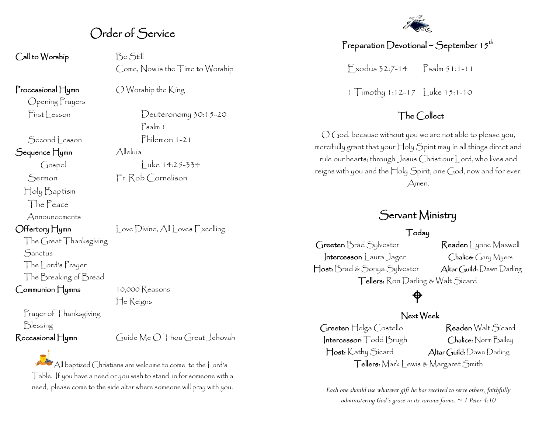## Order of Service

Call to Worship Be Still

Opening Prayers

Sequence Hymn Alleluía

Holy Baptism The Peace Announcements

The Great Thanksgiving **Sanctus** The Lord's Prayer The Breaking of Bread

Communion Hymns 10,000 Reasons

Prayer of Thanksgiving Blessing

Come, Now is the Time to Worship

**Processional Hymn**  $\bigcirc$  Worship the King

First Lesson Deuteronomy 30:15-20 Psalm 1 Second Lesson Philemon 1-21

Gospel Luke 14:25-334 Sermon Fr. Rob Cornelison

Offertory Hymn Love Divine, All Loves Excelling

He Reigns

#### Recessional Hymn Guide Me O Thou Great Jehovah

All baptized Christians are welcome to come to the Lord's Table. If you have a need or you wish to stand in for someone with a need, please come to the side altar where someone will pray with you.



### Preparation Devotional ~ September 15<sup>th</sup>

 $\sum x \cdot 7 - 14$   $\sum x \cdot 7 - 11$ 

1 Timothy 1:12-17 | uke 15:1-10

### The Collect

O God, because without you we are not able to please you, mercifully grant that your Holy Spirit may in all things direct and rule our hearts; through Jesus Christ our Lord, who lives and reigns with you and the Holy Spirit, one God, now and for ever. Amen.

## Servant Ministry

#### Today

Greeter: Brad Sylvester Reader: Lynne Maxwell Intercessor: Laura Jager Chalice: Gary Myers Host: Brad & Sonya Sylvester Altar Guild: Dawn Darling Tellers: Ron Darling & Walt Sicard

## ♦

#### Next Week

Greeter: Helga Costello Reader: Walt Sicard Intercessor: Todd Brugh Chalice: Norm Bailey Host: Kathy Sicard Altar Guild: Dawn Darling Tellers: Mark Lewis & Margaret Smith

*Each one should use whatever gift he has received to serve others, faithfully administering God's grace in its various forms. ~ 1 Peter 4:10*